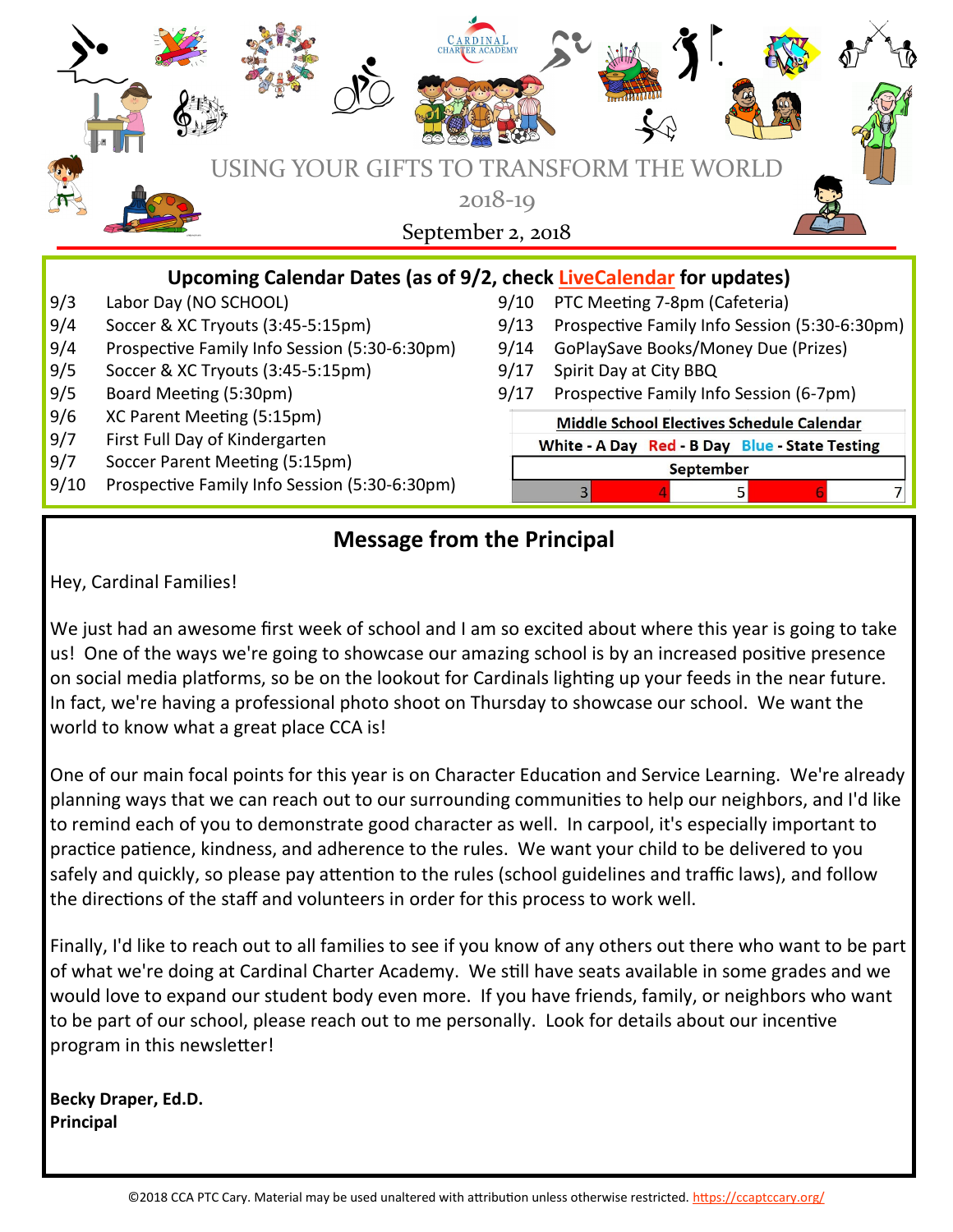|                                                                                                         | <b>OUR GIFTS TO TRANSFORM</b><br>USING Y                                        |      |                                                |  |  |
|---------------------------------------------------------------------------------------------------------|---------------------------------------------------------------------------------|------|------------------------------------------------|--|--|
| $2018 - 19$<br>September 2, 2018<br>Upcoming Calendar Dates (as of 9/2, check LiveCalendar for updates) |                                                                                 |      |                                                |  |  |
| 9/3                                                                                                     | Labor Day (NO SCHOOL)                                                           | 9/10 | PTC Meeting 7-8pm (Cafeteria)                  |  |  |
| 9/4                                                                                                     | Soccer & XC Tryouts (3:45-5:15pm)                                               | 9/13 | Prospective Family Info Session (5:30-6:30pm)  |  |  |
| 9/4                                                                                                     | Prospective Family Info Session (5:30-6:30pm)                                   | 9/14 | GoPlaySave Books/Money Due (Prizes)            |  |  |
| 9/5                                                                                                     | Soccer & XC Tryouts (3:45-5:15pm)                                               | 9/17 | Spirit Day at City BBQ                         |  |  |
| 9/5                                                                                                     | Board Meeting (5:30pm)                                                          | 9/17 | Prospective Family Info Session (6-7pm)        |  |  |
| 9/6                                                                                                     | XC Parent Meeting (5:15pm)                                                      |      | Middle School Electives Schedule Calendar      |  |  |
|                                                                                                         |                                                                                 |      |                                                |  |  |
| 9/7                                                                                                     | First Full Day of Kindergarten                                                  |      | White - A Day Red - B Day Blue - State Testing |  |  |
| 9/7<br>9/10                                                                                             | Soccer Parent Meeting (5:15pm)<br>Prospective Family Info Session (5:30-6:30pm) |      | September                                      |  |  |

# **Message from the Principal**

Hey, Cardinal Families!

We just had an awesome first week of school and I am so excited about where this year is going to take us! One of the ways we're going to showcase our amazing school is by an increased positive presence on social media platforms, so be on the lookout for Cardinals lighting up your feeds in the near future. In fact, we're having a professional photo shoot on Thursday to showcase our school. We want the world to know what a great place CCA is!

One of our main focal points for this year is on Character Education and Service Learning. We're already planning ways that we can reach out to our surrounding communities to help our neighbors, and I'd like to remind each of you to demonstrate good character as well. In carpool, it's especially important to practice patience, kindness, and adherence to the rules. We want your child to be delivered to you safely and quickly, so please pay attention to the rules (school guidelines and traffic laws), and follow the directions of the staff and volunteers in order for this process to work well.

Finally, I'd like to reach out to all families to see if you know of any others out there who want to be part of what we're doing at Cardinal Charter Academy. We still have seats available in some grades and we would love to expand our student body even more. If you have friends, family, or neighbors who want to be part of our school, please reach out to me personally. Look for details about our incentive program in this newsletter!

**Becky Draper, Ed.D. Principal**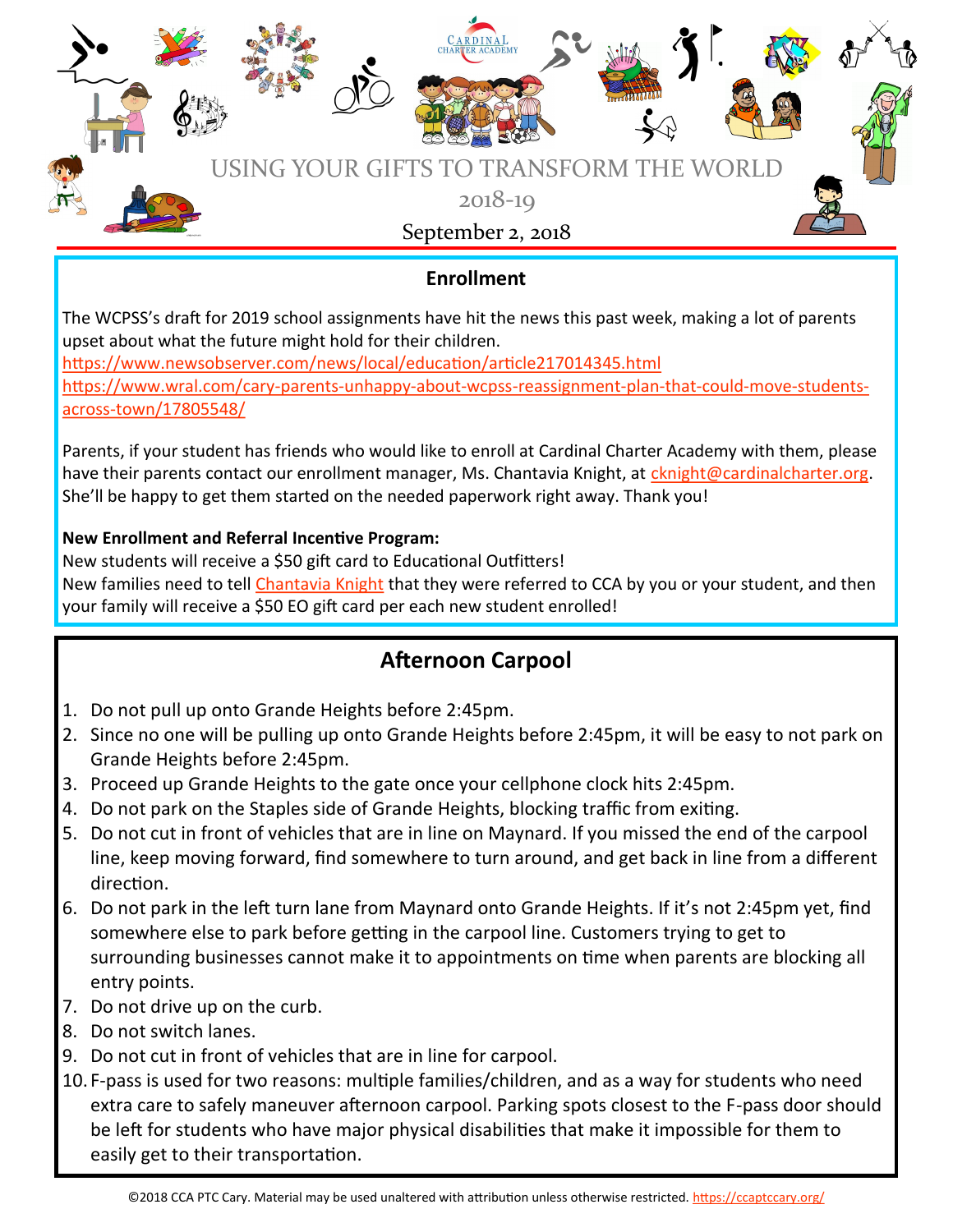

### **Enrollment**

The WCPSS's draft for 2019 school assignments have hit the news this past week, making a lot of parents upset about what the future might hold for their children.

<https://www.newsobserver.com/news/local/education/article217014345.html> [https://www.wral.com/cary](https://www.wral.com/cary-parents-unhappy-about-wcpss-reassignment-plan-that-could-move-students-across-town/17805548/)-parents-unhappy-about-wcpss-reassignment-plan-that-could-move-studentsacross-[town/17805548/](https://www.wral.com/cary-parents-unhappy-about-wcpss-reassignment-plan-that-could-move-students-across-town/17805548/)

Parents, if your student has friends who would like to enroll at Cardinal Charter Academy with them, please have their parents contact our enrollment manager, Ms. Chantavia Knight, at [cknight@cardinalcharter.org.](mailto:cknight@cardinalcharter.org) She'll be happy to get them started on the needed paperwork right away. Thank you!

### **New Enrollment and Referral Incentive Program:**

New students will receive a \$50 gift card to Educational Outfitters! New families need to tell [Chantavia Knight](mailto:cknight@cardinalcharter.org) that they were referred to CCA by you or your student, and then your family will receive a \$50 EO gift card per each new student enrolled!

# **Afternoon Carpool**

- 1. Do not pull up onto Grande Heights before 2:45pm.
- 2. Since no one will be pulling up onto Grande Heights before 2:45pm, it will be easy to not park on Grande Heights before 2:45pm.
- 3. Proceed up Grande Heights to the gate once your cellphone clock hits 2:45pm.
- 4. Do not park on the Staples side of Grande Heights, blocking traffic from exiting.
- 5. Do not cut in front of vehicles that are in line on Maynard. If you missed the end of the carpool line, keep moving forward, find somewhere to turn around, and get back in line from a different direction.
- 6. Do not park in the left turn lane from Maynard onto Grande Heights. If it's not 2:45pm yet, find somewhere else to park before getting in the carpool line. Customers trying to get to surrounding businesses cannot make it to appointments on time when parents are blocking all entry points.
- 7. Do not drive up on the curb.
- 8. Do not switch lanes.
- 9. Do not cut in front of vehicles that are in line for carpool.
- 10. F-pass is used for two reasons: multiple families/children, and as a way for students who need extra care to safely maneuver afternoon carpool. Parking spots closest to the F-pass door should be left for students who have major physical disabilities that make it impossible for them to easily get to their transportation.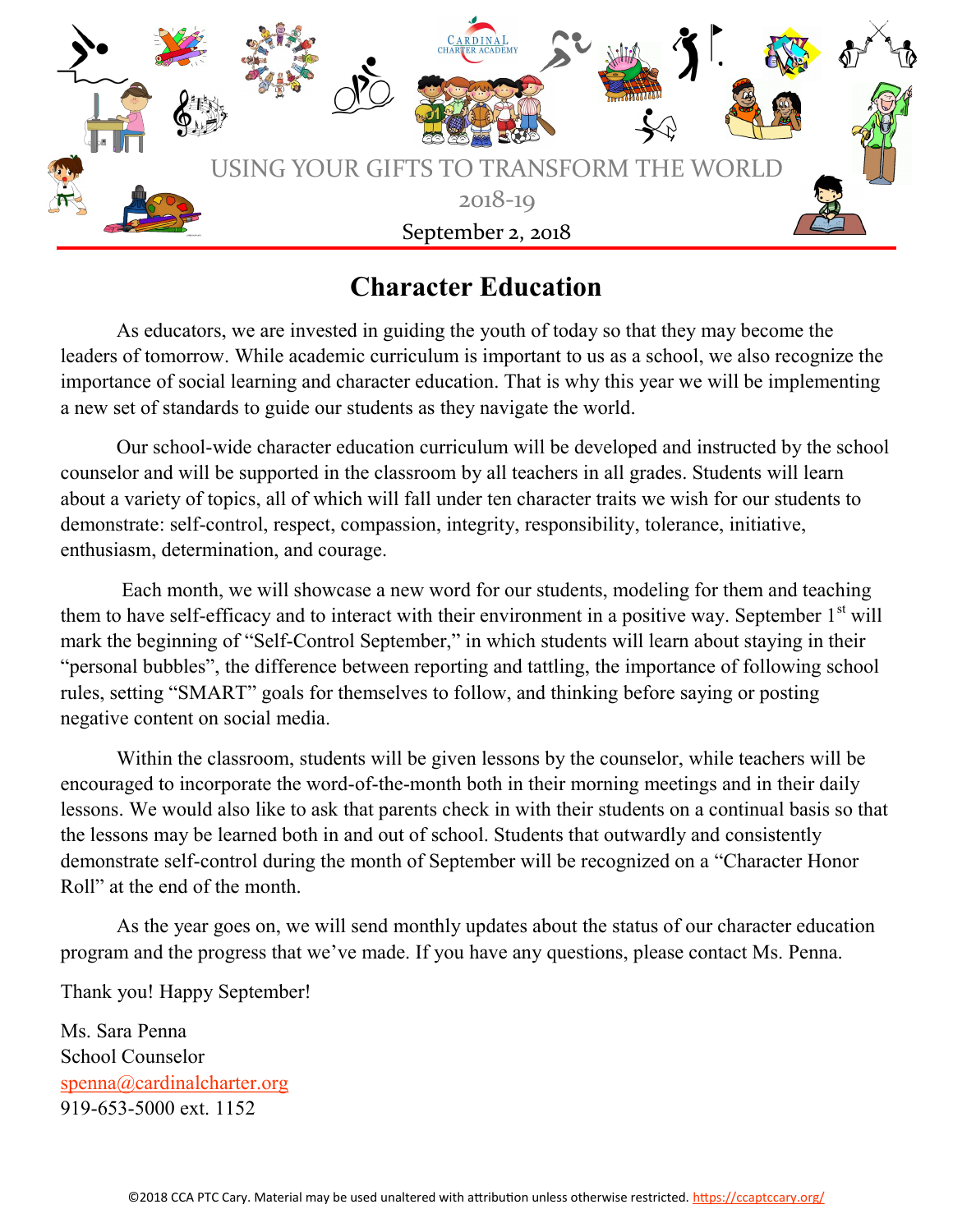

# **Character Education**

As educators, we are invested in guiding the youth of today so that they may become the leaders of tomorrow. While academic curriculum is important to us as a school, we also recognize the importance of social learning and character education. That is why this year we will be implementing a new set of standards to guide our students as they navigate the world.

Our school-wide character education curriculum will be developed and instructed by the school counselor and will be supported in the classroom by all teachers in all grades. Students will learn about a variety of topics, all of which will fall under ten character traits we wish for our students to demonstrate: self-control, respect, compassion, integrity, responsibility, tolerance, initiative, enthusiasm, determination, and courage.

Each month, we will showcase a new word for our students, modeling for them and teaching them to have self-efficacy and to interact with their environment in a positive way. September  $1<sup>st</sup>$  will mark the beginning of "Self-Control September," in which students will learn about staying in their "personal bubbles", the difference between reporting and tattling, the importance of following school rules, setting "SMART" goals for themselves to follow, and thinking before saying or posting negative content on social media.

Within the classroom, students will be given lessons by the counselor, while teachers will be encouraged to incorporate the word-of-the-month both in their morning meetings and in their daily lessons. We would also like to ask that parents check in with their students on a continual basis so that the lessons may be learned both in and out of school. Students that outwardly and consistently demonstrate self-control during the month of September will be recognized on a "Character Honor Roll" at the end of the month.

As the year goes on, we will send monthly updates about the status of our character education program and the progress that we've made. If you have any questions, please contact Ms. Penna.

Thank you! Happy September!

Ms. Sara Penna School Counselor [spenna@cardinalcharter.org](mailto:spenna@cardinalcharter.org) 919-653-5000 ext. 1152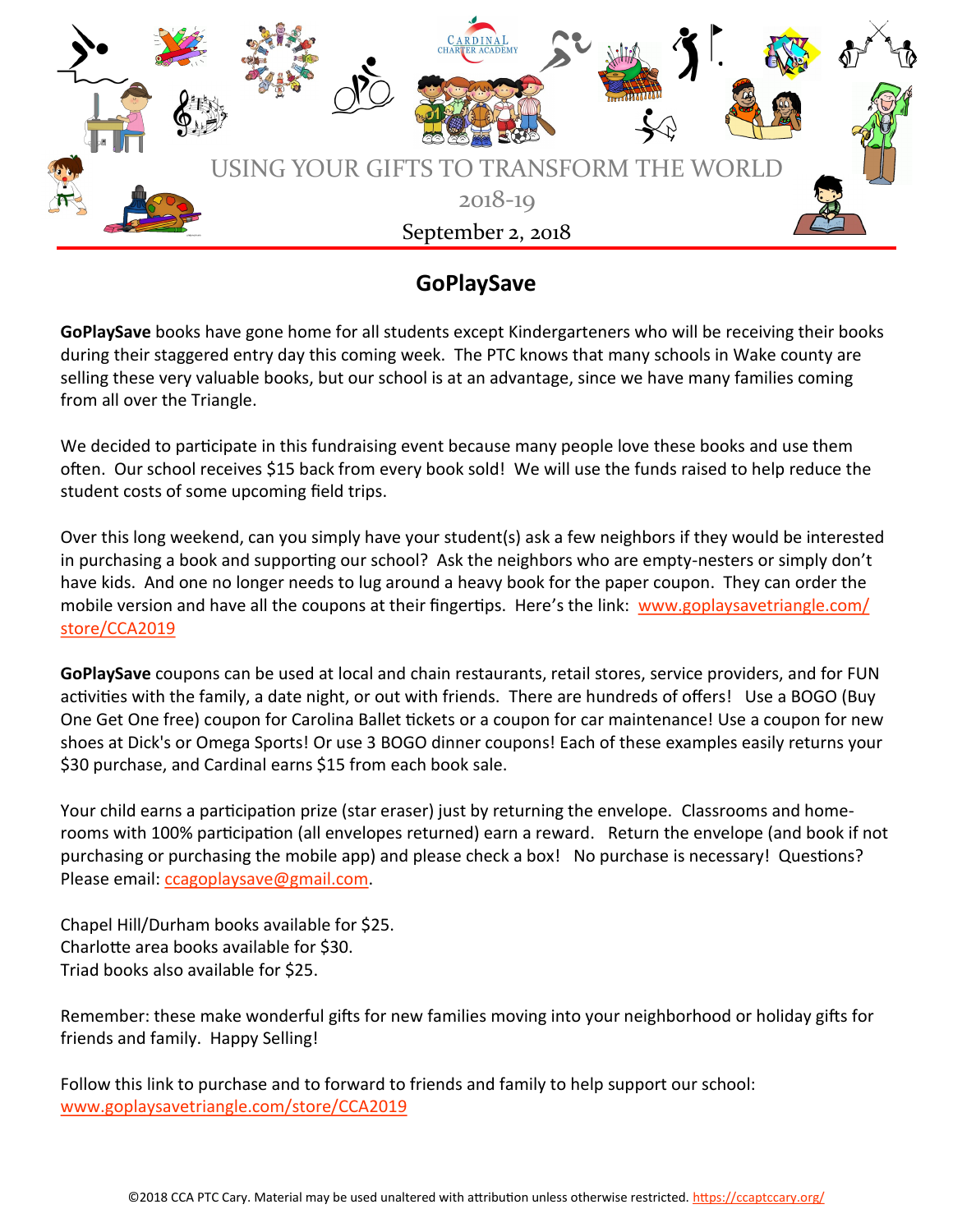

# **GoPlaySave**

**GoPlaySave** books have gone home for all students except Kindergarteners who will be receiving their books during their staggered entry day this coming week. The PTC knows that many schools in Wake county are selling these very valuable books, but our school is at an advantage, since we have many families coming from all over the Triangle.

We decided to participate in this fundraising event because many people love these books and use them often. Our school receives \$15 back from every book sold! We will use the funds raised to help reduce the student costs of some upcoming field trips.

Over this long weekend, can you simply have your student(s) ask a few neighbors if they would be interested in purchasing a book and supporting our school? Ask the neighbors who are empty-nesters or simply don't have kids. And one no longer needs to lug around a heavy book for the paper coupon. They can order the mobile version and have all the coupons at their fingertips. Here's the link: [www.goplaysavetriangle.com/](https://nam03.safelinks.protection.outlook.com/?url=http%3A%2F%2Fwww.goplaysavetriangle.com%2Fstore%2FCCA2019&data=02%7C01%7C%7C1ba77160de6e47b7fbbf08d60ee71784%7C84df9e7fe9f640afb435aaaaaaaaaaaa%7C1%7C0%7C636712783018704285&sdata=AkstyKa%2FroSKJ3i9pBinQNLcll) [store/CCA2019](https://nam03.safelinks.protection.outlook.com/?url=http%3A%2F%2Fwww.goplaysavetriangle.com%2Fstore%2FCCA2019&data=02%7C01%7C%7C1ba77160de6e47b7fbbf08d60ee71784%7C84df9e7fe9f640afb435aaaaaaaaaaaa%7C1%7C0%7C636712783018704285&sdata=AkstyKa%2FroSKJ3i9pBinQNLcll)

**GoPlaySave** coupons can be used at local and chain restaurants, retail stores, service providers, and for FUN activities with the family, a date night, or out with friends. There are hundreds of offers! Use a BOGO (Buy One Get One free) coupon for Carolina Ballet tickets or a coupon for car maintenance! Use a coupon for new shoes at Dick's or Omega Sports! Or use 3 BOGO dinner coupons! Each of these examples easily returns your \$30 purchase, and Cardinal earns \$15 from each book sale.

Your child earns a participation prize (star eraser) just by returning the envelope. Classrooms and homerooms with 100% participation (all envelopes returned) earn a reward. Return the envelope (and book if not purchasing or purchasing the mobile app) and please check a box! No purchase is necessary! Questions? Please email: [ccagoplaysave@gmail.com.](mailto:ccagoplaysave@gmail.com) 

Chapel Hill/Durham books available for \$25. Charlotte area books available for \$30. Triad books also available for \$25.

Remember: these make wonderful gifts for new families moving into your neighborhood or holiday gifts for friends and family. Happy Selling!

Follow this link to purchase and to forward to friends and family to help support our school: [www.goplaysavetriangle.com/store/CCA2019](https://nam03.safelinks.protection.outlook.com/?url=http%3A%2F%2Fwww.goplaysavetriangle.com%2Fstore%2FCCA2019&data=02%7C01%7C%7C1ba77160de6e47b7fbbf08d60ee71784%7C84df9e7fe9f640afb435aaaaaaaaaaaa%7C1%7C0%7C636712783018704285&sdata=AkstyKa%2FroSKJ3i9pBinQNLcll)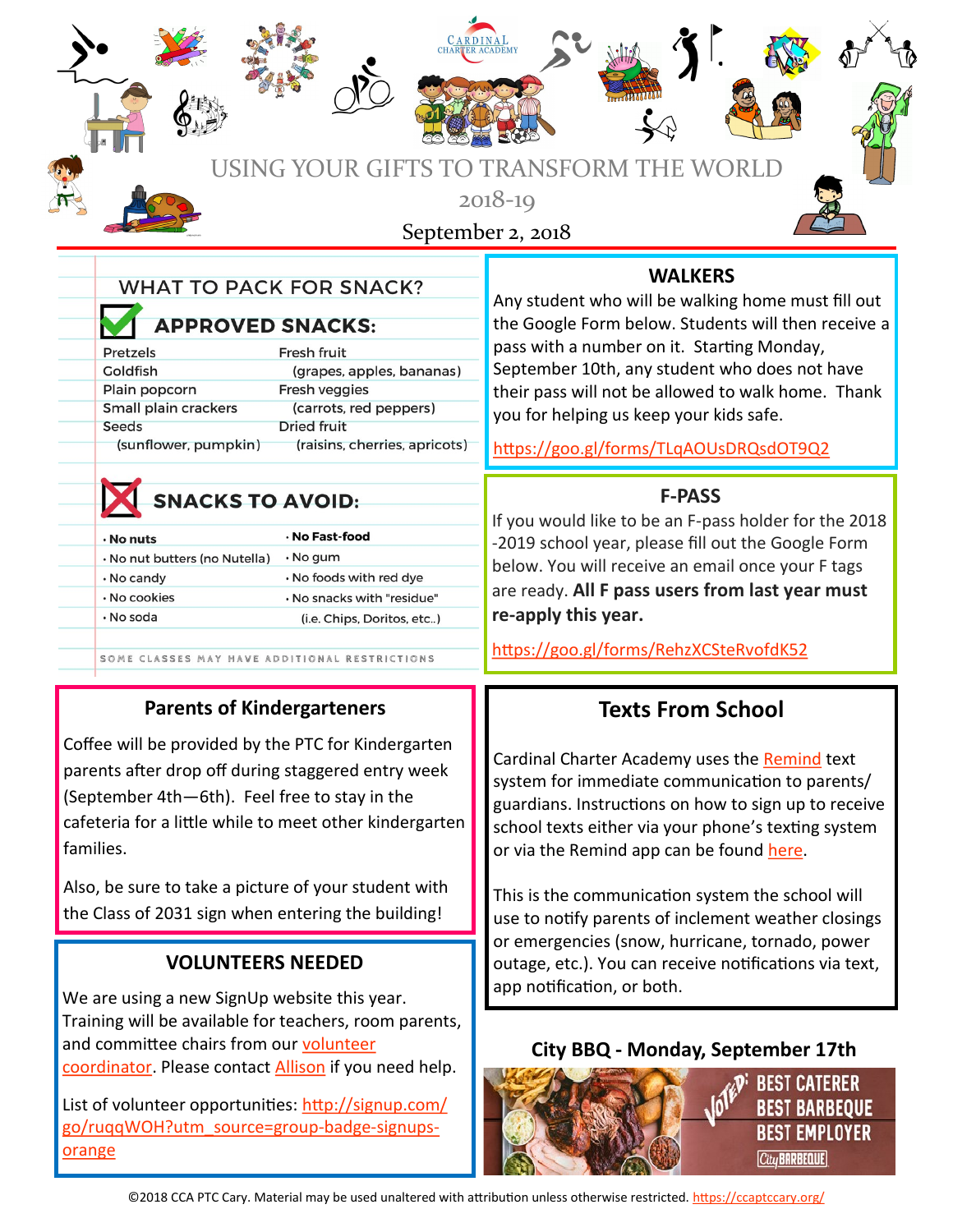| USING Y                                                                                                                                                                                                                                                                                                                         | CARDINA.<br><b>TRANSFORM THE WORLD</b><br>)UR GIFTS T                                                                                                                                                                       |                                                                                                                                                                                                                                                                                                                                                                                                                                                                                                                                                                                                          |  |
|---------------------------------------------------------------------------------------------------------------------------------------------------------------------------------------------------------------------------------------------------------------------------------------------------------------------------------|-----------------------------------------------------------------------------------------------------------------------------------------------------------------------------------------------------------------------------|----------------------------------------------------------------------------------------------------------------------------------------------------------------------------------------------------------------------------------------------------------------------------------------------------------------------------------------------------------------------------------------------------------------------------------------------------------------------------------------------------------------------------------------------------------------------------------------------------------|--|
|                                                                                                                                                                                                                                                                                                                                 | $2018 - 19$<br>September 2, 2018                                                                                                                                                                                            |                                                                                                                                                                                                                                                                                                                                                                                                                                                                                                                                                                                                          |  |
| <b>WHAT TO PACK FOR SNACK?</b><br><b>APPROVED SNACKS:</b><br>Fresh fruit<br>Pretzels<br>Goldfish<br>(grapes, apples, bananas)<br>Plain popcorn<br>Fresh veggies<br>Small plain crackers<br>(carrots, red peppers)<br><b>Seeds</b><br>Dried fruit<br>(sunflower, pumpkin)                                                        | pass with a number on it. Starting Monday,<br>September 10th, any student who does not have<br>you for helping us keep your kids safe.<br>(raisins, cherries, apricots)<br>https://goo.gl/forms/TLqAOUsDRQsdOT9Q2           | <b>WALKERS</b><br>Any student who will be walking home must fill out<br>the Google Form below. Students will then receive a<br>their pass will not be allowed to walk home. Thank                                                                                                                                                                                                                                                                                                                                                                                                                        |  |
| <b>SNACKS TO AVOID:</b><br>· No Fast-food<br>$\cdot$ No nuts<br>· No gum<br>· No nut butters (no Nutella)<br>. No foods with red dye<br>. No candy<br>· No cookies<br>. No snacks with "residue"<br>· No soda<br>(i.e. Chips, Doritos, etc)<br>SOME CLASSES MAY HAVE ADDITIONAL RESTRICTIONS                                    | -2019 school year, please fill out the Google Form<br>below. You will receive an email once your F tags<br>are ready. All F pass users from last year must<br>re-apply this year.<br>https://goo.gl/forms/RehzXCSteRvofdK52 | <b>F-PASS</b><br>If you would like to be an F-pass holder for the 2018                                                                                                                                                                                                                                                                                                                                                                                                                                                                                                                                   |  |
| <b>Parents of Kindergarteners</b><br>Coffee will be provided by the PTC for Kindergarten<br>parents after drop off during staggered entry week<br>(September 4th-6th). Feel free to stay in the<br>cafeteria for a little while to meet other kindergarten<br>families.<br>Also, be sure to take a picture of your student with |                                                                                                                                                                                                                             | <b>Texts From School</b><br>Cardinal Charter Academy uses the Remind text<br>system for immediate communication to parents/<br>guardians. Instructions on how to sign up to receive<br>school texts either via your phone's texting system<br>or via the Remind app can be found here.<br>This is the communication system the school will<br>use to notify parents of inclement weather closings<br>or emergencies (snow, hurricane, tornado, power<br>outage, etc.). You can receive notifications via text,<br>app notification, or both.<br>City BBQ - Monday, September 17th<br><b>BEST CATERER</b> |  |
| the Class of 2031 sign when entering the building!<br><b>VOLUNTEERS NEEDED</b><br>We are using a new SignUp website this year.<br>Training will be available for teachers, room parents,<br>and committee chairs from our volunteer<br>coordinator. Please contact Allison if you need help.                                    |                                                                                                                                                                                                                             |                                                                                                                                                                                                                                                                                                                                                                                                                                                                                                                                                                                                          |  |
| List of volunteer opportunities: http://signup.com/<br>go/ruggWOH?utm_source=group-badge-signups-<br>orange                                                                                                                                                                                                                     |                                                                                                                                                                                                                             | <b>BEST BARBEQUE</b><br><b>BEST EMPLOYER</b><br>City BARBEQUE                                                                                                                                                                                                                                                                                                                                                                                                                                                                                                                                            |  |

 $\overline{a}$ 

S

City BARBEQUE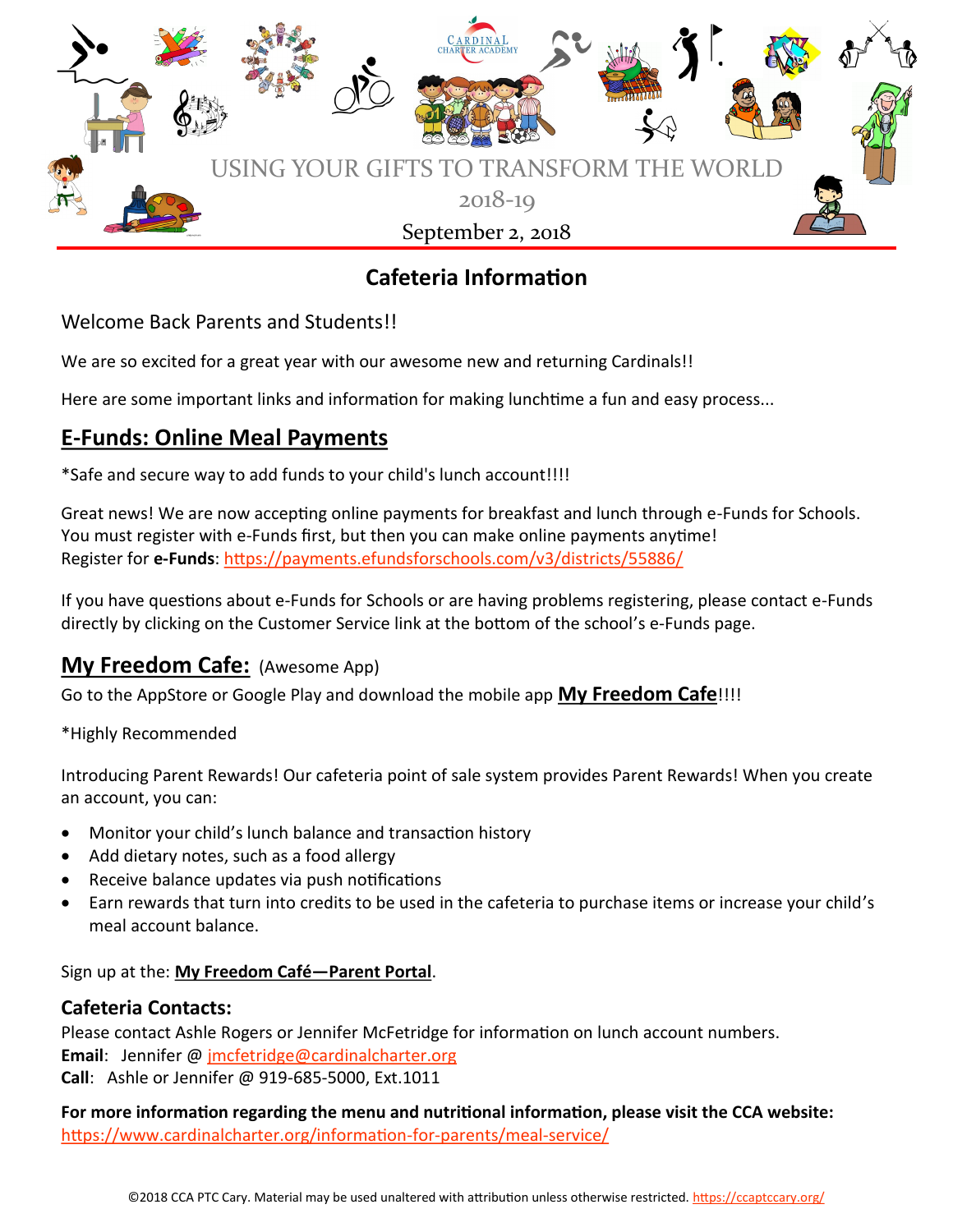

# **Cafeteria Information**

Welcome Back Parents and Students!!

We are so excited for a great year with our awesome new and returning Cardinals!!

Here are some important links and information for making lunchtime a fun and easy process...

# **E-Funds: Online Meal Payments**

\*Safe and secure way to add funds to your child's lunch account!!!!

Great news! We are now accepting online payments for breakfast and lunch through e-Funds for Schools. You must register with e-Funds first, but then you can make online payments anytime! Register for **e-Funds**: <https://payments.efundsforschools.com/v3/districts/55886/>

If you have questions about e-Funds for Schools or are having problems registering, please contact e-Funds directly by clicking on the Customer Service link at the bottom of the school's e-Funds page.

# **My Freedom Cafe:** (Awesome App)

Go to the AppStore or Google Play and download the mobile app **My Freedom Cafe**!!!!

\*Highly Recommended

Introducing Parent Rewards! Our cafeteria point of sale system provides Parent Rewards! When you create an account, you can:

- Monitor your child's lunch balance and transaction history
- Add dietary notes, such as a food allergy
- Receive balance updates via push notifications
- Earn rewards that turn into credits to be used in the cafeteria to purchase items or increase your child's meal account balance.

Sign up at the: **My Freedom Café—Parent Portal**.

### **Cafeteria Contacts:**

Please contact Ashle Rogers or Jennifer McFetridge for information on lunch account numbers. **Email**: Jennifer @ [jmcfetridge@cardinalcharter.org](mailto:jmcfetridge@cardinalcharter.org) **Call**: Ashle or Jennifer @ 919-685-5000, Ext.1011

**For more information regarding the menu and nutritional information, please visit the CCA website:** [https://www.cardinalcharter.org/information](https://www.cardinalcharter.org/information-for-parents/meal-service/)-for-parents/meal-service/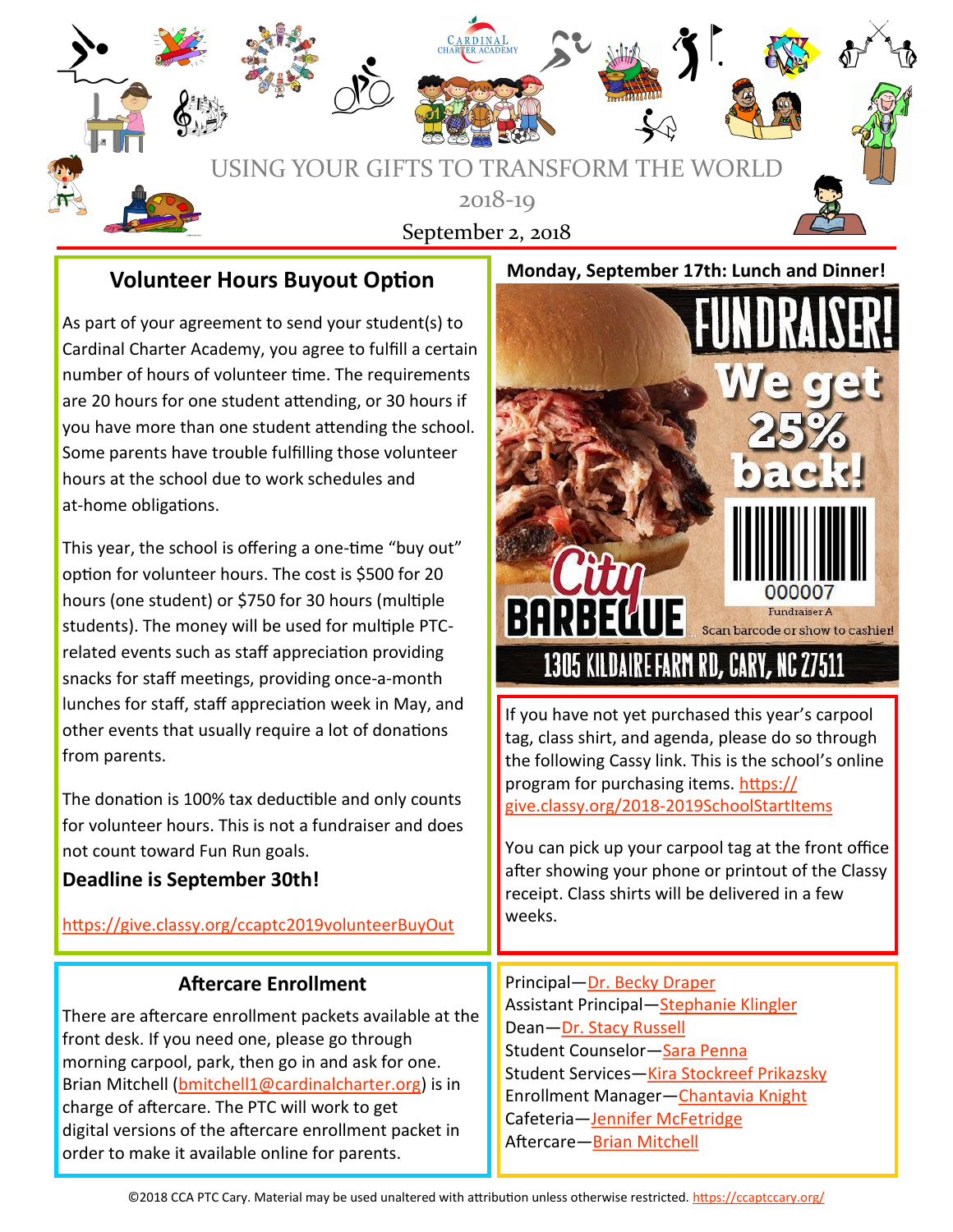

### **Volunteer Hours Buyout Option**

As part of your agreement to send your student(s) to Cardinal Charter Academy, you agree to fulfill a certain number of hours of volunteer time. The requirements are 20 hours for one student attending, or 30 hours if you have more than one student attending the school. Some parents have trouble fulfilling those volunteer hours at the school due to work schedules and at-home obligations.

This year, the school is offering a one-time "buy out" option for volunteer hours. The cost is \$500 for 20 hours (one student) or \$750 for 30 hours (multiple students). The money will be used for multiple PTCrelated events such as staff appreciation providing snacks for staff meetings, providing once-a-month lunches for staff, staff appreciation week in May, and other events that usually require a lot of donations from parents.

The donation is 100% tax deductible and only counts for volunteer hours. This is not a fundraiser and does not count toward Fun Run goals.

### **Deadline is September 30th!**

<https://give.classy.org/ccaptc2019volunteerBuyOut>

### **Aftercare Enrollment**

There are aftercare enrollment packets available at the front desk. If you need one, please go through morning carpool, park, then go in and ask for one. Brian Mitchell ([bmitchell1@cardinalcharter.org\)](mailto:bmitchell1@cardinalcharter.org) is in charge of aftercare. The PTC will work to get digital versions of the aftercare enrollment packet in order to make it available online for parents.



If you have not yet purchased this year's carpool tag, class shirt, and agenda, please do so through the following Cassy link. This is the school's online program for purchasing items. [https://](https://give.classy.org/2018-2019SchoolStartItems) give.classy.org/2018-[2019SchoolStartItems](https://give.classy.org/2018-2019SchoolStartItems)

You can pick up your carpool tag at the front office after showing your phone or printout of the Classy receipt. Class shirts will be delivered in a few weeks.

#### Principal—[Dr. Becky Draper](mailto:rdraper@cardinalcharter.org)

Assistant Principal[—Stephanie Klingler](mailto:sklingler@cardinalcharter.org) Dean—[Dr. Stacy Russell](mailto:srussell@cardinalcharter.org) Student Counselor-Sara Penna Student Services[—Kira Stockreef Prikazsky](mailto:kstockreef@cardinalcharter.org) Enrollment Manager[—Chantavia Knight](mailto:cknight@cardinalcharter.org) Cafeteria—[Jennifer McFetridge](mailto:jmcfetridge@cardinalcharter.org) Aftercare[—Brian Mitchell](mailto:bmitchell1@cardinalcharter.org)